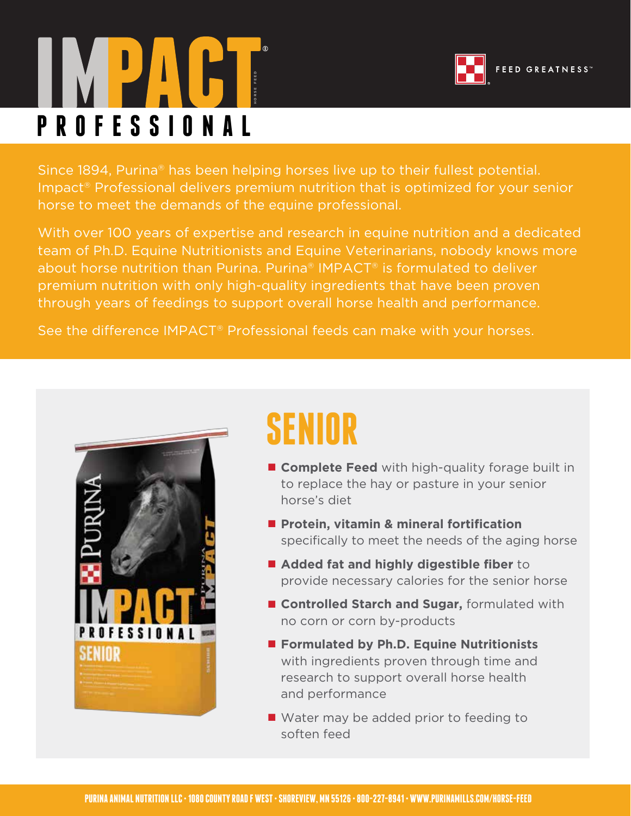# **PROFESSIONAL**



Since 1894, Purina® has been helping horses live up to their fullest potential. Impact® Professional delivers premium nutrition that is optimized for your senior horse to meet the demands of the equine professional.

With over 100 years of expertise and research in equine nutrition and a dedicated team of Ph.D. Equine Nutritionists and Equine Veterinarians, nobody knows more about horse nutrition than Purina. Purina® IMPACT® is formulated to deliver premium nutrition with only high-quality ingredients that have been proven through years of feedings to support overall horse health and performance.

See the difference IMPACT® Professional feeds can make with your horses.



# **SENIOR**

- **Complete Feed** with high-quality forage built in to replace the hay or pasture in your senior horse's diet
- Protein, vitamin & mineral fortification specifically to meet the needs of the aging horse
- **Added fat and highly digestible fiber** to provide necessary calories for the senior horse
- **Controlled Starch and Sugar, formulated with** no corn or corn by-products
- **Formulated by Ph.D. Equine Nutritionists** with ingredients proven through time and research to support overall horse health and performance
- Water may be added prior to feeding to soften feed